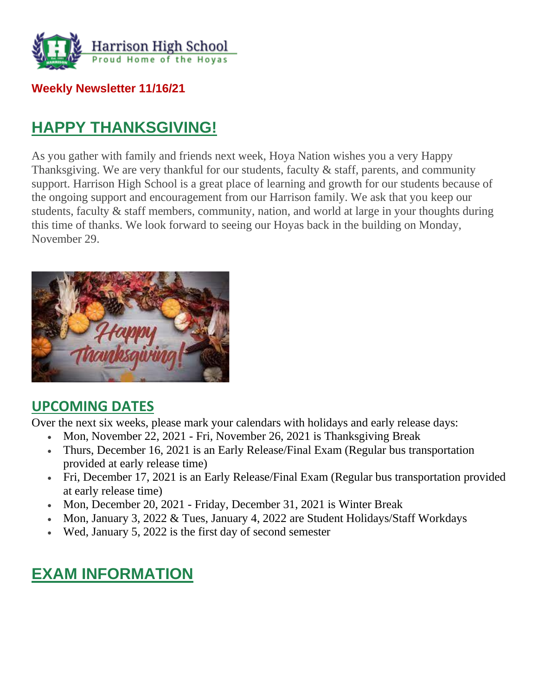

#### **Weekly Newsletter 11/16/21**

## **HAPPY THANKSGIVING!**

As you gather with family and friends next week, Hoya Nation wishes you a very Happy Thanksgiving. We are very thankful for our students, faculty & staff, parents, and community support. Harrison High School is a great place of learning and growth for our students because of the ongoing support and encouragement from our Harrison family. We ask that you keep our students, faculty & staff members, community, nation, and world at large in your thoughts during this time of thanks. We look forward to seeing our Hoyas back in the building on Monday, November 29.



## **UPCOMING DATES**

Over the next six weeks, please mark your calendars with holidays and early release days:

- Mon, November 22, 2021 Fri, November 26, 2021 is Thanksgiving Break
- Thurs, December 16, 2021 is an Early Release/Final Exam (Regular bus transportation provided at early release time)
- Fri, December 17, 2021 is an Early Release/Final Exam (Regular bus transportation provided at early release time)
- Mon, December 20, 2021 Friday, December 31, 2021 is Winter Break
- Mon, January 3, 2022 & Tues, January 4, 2022 are Student Holidays/Staff Workdays
- Wed, January 5, 2022 is the first day of second semester

## **EXAM INFORMATION**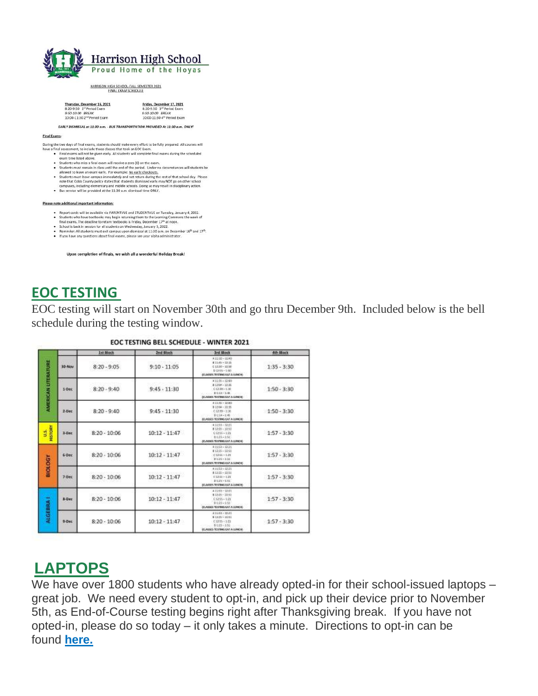

HARRISON HIGH SCHOOL-FALL SEMESTER 2021

| Thursday, December 16, 2021             | Friday, December 17, 2021   |
|-----------------------------------------|-----------------------------|
| 8:20-9:50 1 <sup>31</sup> Period Exam   | 8:20-9:50 3rd Period Exam   |
| 9:50-10:00 BREAK                        | 9:50-10:00 BREAK            |
| 10:00-11:30 2 <sup>nd</sup> Period Exam | 10:00-11:30 4th Period Exam |

**Final Exams:** 

<u>Funishing</u><br> **Example 1 to days of final exams, students should make every effort to be fully prepared. All courses will<br>
the a final assessment, to include throse classes that took an EOC Exam.<br>
Final exams will respect** 

- 
- 
- 
- 
- 

#### Please note additional important information:

- Report cards will be available via PARENTVUE and STUDENTVUE on Tuesday, January 4, 2022.<br>• Students who have textbooks may begin returning them to the Learning Commons the week of<br>final exams. The deadline to return tex
- 
- School is back in session for all students on Wednesday, January 5, 2022.
- Reminder: All students must exit campus upon dismissal at 11:30 a.m. on December 16<sup>th</sup> and 17<sup>th</sup>. . If you have any questions about final exams, please see your alpha administrator

Upon completion of finals, we wish all a wonderful Holiday Break!

#### **EOC TESTING**

EOC testing will start on November 30th and go thru December 9th. Included below is the bell schedule during the testing window.

|                             |           | <b>Ist Block</b> | <b>2nd Block</b> | <b>Ard Mock</b>                                                                                               | 4th Block     |
|-----------------------------|-----------|------------------|------------------|---------------------------------------------------------------------------------------------------------------|---------------|
| <b>AIMERICAN LITERATURE</b> | 30-Nov    | $8:20 - 9:05$    | $9:10 - 11:05$   | #1210-11:40<br>$831.46 - 13.26$<br>$212.30 - 12.56$<br>$D (368 - 140)$<br>STANSIS TESTING BAT A LUNCH.        | $1:35 - 3:30$ |
|                             | $5-0+$    | $8:20 - 9:40$    | $9:45 - 11:30$   | #1039-1240<br>$k1266 - 1125$<br>$0.1210 - 1.00$<br>$D = 10 - 1.05$<br>(CLASSICA TESTING EAT A LENGTH)         | $1:50 - 3:30$ |
|                             | $2-Dec$   | $8:20 - 9:40$    | $9:45 - 11:30$   | $81541 - 1760$<br>$0.1266 - 11.91$<br>$01210 - 100$<br>$D = 14 - 1.95$<br><b>JOURNES TESTING EAT A LUNCHE</b> | $1:50 - 3:30$ |
| HISTORY<br>ś                | $3-Dec$   | $8:20 - 10:06$   | $10:12 - 11:47$  | #1245 - 12-21<br>#1235 - 1251<br>$C1256 - 121$<br>$0115 - 153$<br>CLASSIS TESTING BAT A LUNCH.                | $1:57 - 3:30$ |
| <b>HOLOGY</b>               | $6-0$ ec  | $8:20 - 10:06$   | $10:12 - 11:47$  | $41150 - 1721$<br>$0.1226 - 1251$<br>$C1268 - 131$<br>$D135 - 132$<br>STUMMES TO STRAG BAT A LEINON.          | $1:57 - 3:30$ |
|                             | $7 -$ Dec | $8:20 - 10:06$   | $10:12 - 11:47$  | 41552-1221<br>$41245 - 1151$<br>$1368 - 121$<br>$DLMh-1M1$<br>STAGERS TO STRAG BAT A LEBACH.                  | $1:57 - 3:30$ |
| ALGEBRA I                   | 5-Dec     | $8:20 - 10:06$   | $10:12 - 11:47$  | 411-55-12-21<br>812-21-1151<br>$C1255 - 123$<br>$D1:35-1:53$<br>(CLASSES TESTING EAT A LUNCH)                 | $1:57 - 3:30$ |
|                             | 9-Dec     | $8:20 - 10:06$   | $10:12 - 11:47$  | 81146-1101<br>$112.23 - 21.41$<br>$(1233 - 12)$<br>01:15 - 1:51<br><b>SCLASSES RESTING EAT A LUNICIE</b>      | $1:57 - 3:30$ |

#### EOC TESTING BELL SCHEDULE - WINTER 2021

## **LAPTOPS**

We have over 1800 students who have already opted-in for their school-issued laptops – great job. We need every student to opt-in, and pick up their device prior to November 5th, as End-of-Course testing begins right after Thanksgiving break. If you have not opted-in, please do so today – it only takes a minute. Directions to opt-in can be found **[here.](http://url503.cobbk12.org/ls/click?upn=kYpeu9rJVSU1acS4VG0V9dP8zXnygu7Up5qBE7usQ1ge7I2QSEuv2APaQuIa8x0SfNNzVhu-2FzuTLLNHDo4H9B21pPs7zSxFmZo6PEbDBV7kB3gOG26wQbp6aObvsc8ZWBGnmOidwMxacgP5v4KoAi1NntfOGJPK7eJIEUCBGbkDA1-2FY6eKAbvXx9dqexBEnKpU2P6BRqjnNrhhkvNMs-2BIXKFomRPDo2Sp-2FooM3Mm1FoSpRWWouQ3-2BoSTydAslHDyYOtw8vnEPNs2l3yM9rzrb4Qopc-2FbCPtqpVoJLB94sH4fHsA2svEAB7NqkmETFFEwIKUY1nc8hwkxdXbd2qMb77sjdRoZrGdyHdOI6Tqps5YAtUumJBrPVfjhSb-2FAlR-2FeOldnb7YG6O6S-2BEuULb6spepIY7i4AcHGWl8mbi1MWKXKTWxr1sco2wHnx0VbsUSTdaXMun3MRUcHYTQRknQoSX6amWIqRNl3IFpAhb8RaFIRQYP3xVJjXHRzPwDy-2FsZawVumMmXbPcqryr9QMiaUzjphTDrI5s158Q6yQ9UHiDa4U0FBEdkL33-2F1c-2BJtE5O1GibbgEEVMLZ0UGXjog9F-2FB6BsNhDqbqFcDNcrOGc2b-2BgcbzbmZJHvk8gADNu6axy26PcGu0JxMe9EVxCyUoCQ12tXKqV3NXKVOCyyYcD-2Bvk-3Dg4Ki_W-2BfLYUoUwwI1tuGClKRhhPOSepcZIFoXnUIMjiA717kQ1i13BNQTwwJ9cl-2BWArXr6-2FDxoCbNFrRaplJKtN7fZ8ZF7LZ67zArSHHm-2Fe0Pl-2Bzz5eaVNuzdVr36Cf6XT12AK3gT5Mmx7PMDY-2BalnbnmdiMHAmGgqiUN8hym-2BSPw57ALwD1Mgu0lya5Yopk9S7xaQol-2BU-2FUzoHbtNY9Obtz6TxYExQWXcv-2FEJzw0mWx-2BxpqmR6EnqKl50jUMt-2FeD7Q9NIXErqx1vb8uoSaj-2Fah2ZBQ-3D-3D)**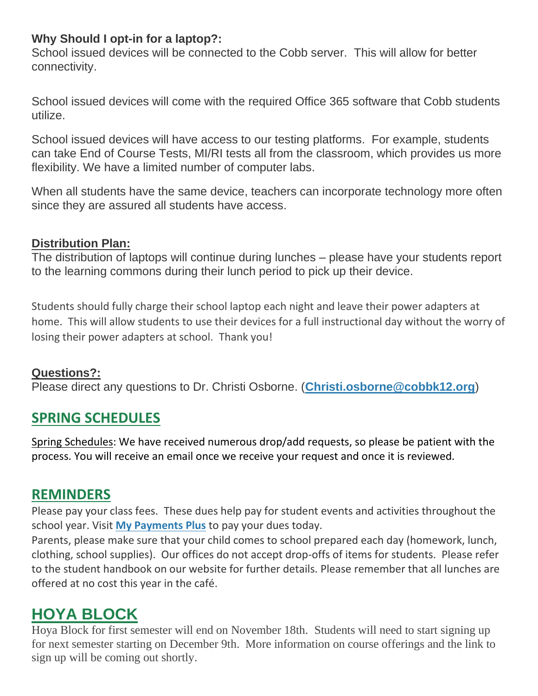#### **Why Should I opt-in for a laptop?:**

School issued devices will be connected to the Cobb server. This will allow for better connectivity.

School issued devices will come with the required Office 365 software that Cobb students utilize.

School issued devices will have access to our testing platforms. For example, students can take End of Course Tests, MI/RI tests all from the classroom, which provides us more flexibility. We have a limited number of computer labs.

When all students have the same device, teachers can incorporate technology more often since they are assured all students have access.

#### **Distribution Plan:**

The distribution of laptops will continue during lunches – please have your students report to the learning commons during their lunch period to pick up their device.

Students should fully charge their school laptop each night and leave their power adapters at home. This will allow students to use their devices for a full instructional day without the worry of losing their power adapters at school. Thank you!

#### **Questions?:**

Please direct any questions to Dr. Christi Osborne. (**[Christi.osborne@cobbk12.org](mailto:Christi.osborne@cobbk12.org)**)

## **SPRING SCHEDULES**

Spring Schedules: We have received numerous drop/add requests, so please be patient with the process. You will receive an email once we receive your request and once it is reviewed.

### **REMINDERS**

Please pay your class fees. These dues help pay for student events and activities throughout the school year. Visit **[My Payments Plus](http://url503.cobbk12.org/ls/click?upn=oq5wnnHoD1NAxpT8rNAGXBxh8XnDVEDw5bvdQ2ADwSG1Bh0D2uOXMojjZ7F-2BABXkZIWy_W-2BfLYUoUwwI1tuGClKRhhPOSepcZIFoXnUIMjiA717kQ1i13BNQTwwJ9cl-2BWArXr6-2FDxoCbNFrRaplJKtN7fZ8ZF7LZ67zArSHHm-2Fe0Pl-2Bzz5eaVNuzdVr36Cf6XT12AQfxV7QVJV9tiRv-2FjeDAHJfB7mf8fp3XhtZIwHn-2BEk7JnPyJzGpoyOreikr1HSIa8XeN72aDJBQZ00-2BIUGXOBjbQzyY-2BjlA89eJ-2FVdroybhtONvvh1BcQNHUcn7oiNn2y4vt-2B9s791YbqWIjcNIcStA-3D-3D)** to pay your dues today.

Parents, please make sure that your child comes to school prepared each day (homework, lunch, clothing, school supplies). Our offices do not accept drop-offs of items for students. Please refer to the student handbook on our website for further details. Please remember that all lunches are offered at no cost this year in the café.

## **HOYA BLOCK**

Hoya Block for first semester will end on November 18th. Students will need to start signing up for next semester starting on December 9th. More information on course offerings and the link to sign up will be coming out shortly.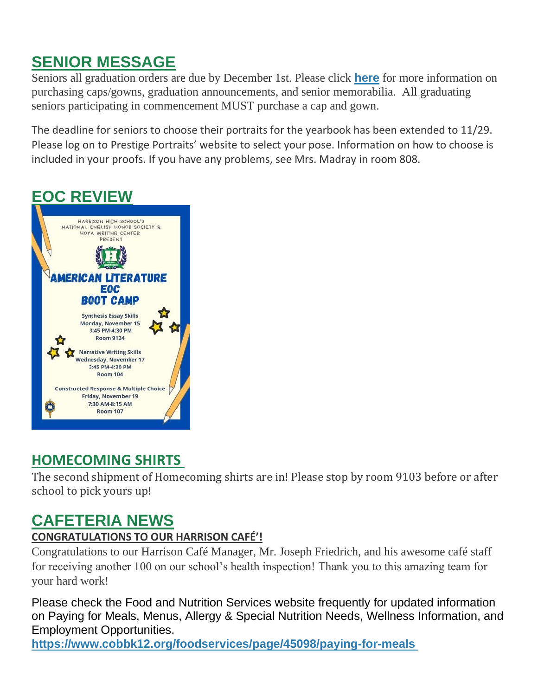# **SENIOR MESSAGE**

Seniors all graduation orders are due by December 1st. Please click **[here](http://url503.cobbk12.org/ls/click?upn=U4hCIp-2BhfB8EhA-2BKcjUp5AtOtpNXdN8uxH-2Fy67Vg4-2FK6u-2FJ0pQfT4XhP3AbOB42pwPod_W-2BfLYUoUwwI1tuGClKRhhPOSepcZIFoXnUIMjiA717kQ1i13BNQTwwJ9cl-2BWArXr6-2FDxoCbNFrRaplJKtN7fZ8ZF7LZ67zArSHHm-2Fe0Pl-2Bzz5eaVNuzdVr36Cf6XT12ATEFWnGCmfLX3ktJ8hDmbhGg0XH0XeQh9ldn5TdmYkGF8gbulpbbTPrkqkklwTi7VXYTStjoMr-2BqW47co05w-2FC5LI5vzI-2FyTfODxd5SjzsauLrnnMf9NOhK2dfxS-2FyddXIA-2Fjro4OWLVxBaKZkf4MOA-3D-3D)** for more information on purchasing caps/gowns, graduation announcements, and senior memorabilia. All graduating seniors participating in commencement MUST purchase a cap and gown.

The deadline for seniors to choose their portraits for the yearbook has been extended to 11/29. Please log on to Prestige Portraits' website to select your pose. Information on how to choose is included in your proofs. If you have any problems, see Mrs. Madray in room 808.

# **EOC REVIEW**



## **HOMECOMING SHIRTS**

The second shipment of Homecoming shirts are in! Please stop by room 9103 before or after school to pick yours up!

## **CAFETERIA NEWS**

#### **CONGRATULATIONS TO OUR HARRISON CAFÉ'!**

Congratulations to our Harrison Café Manager, Mr. Joseph Friedrich, and his awesome café staff for receiving another 100 on our school's health inspection! Thank you to this amazing team for your hard work!

Please check the Food and Nutrition Services website frequently for updated information on Paying for Meals, Menus, Allergy & Special Nutrition Needs, Wellness Information, and Employment Opportunities.

**[https://www.cobbk12.org/foodservices/page/45098/paying-for-meals](http://url503.cobbk12.org/ls/click?upn=oq5wnnHoD1NAxpT8rNAGXIgEcF6cFUXUYIe-2B8AO3LVyx4t4OJsNWVhu0iEI2j90fBOcAAqhr4f3pHktzPZuYg83p0mcu7zlRbWoKDhAG9jg-3DFQN1_W-2BfLYUoUwwI1tuGClKRhhPOSepcZIFoXnUIMjiA717kQ1i13BNQTwwJ9cl-2BWArXr6-2FDxoCbNFrRaplJKtN7fZ8ZF7LZ67zArSHHm-2Fe0Pl-2Bzz5eaVNuzdVr36Cf6XT12Ao5OAGAJW97kpav2qPJxbYYaxgl7jb2j5A9fTiDGx8VpB2-2F9y0sFln0g3TPnuONx3sZYda9N5ElLJ5W3Qf9klZsaHkueWDIepqRVUpon6lananbFM7fTQqarwM60qGfqt2KXrw-2FEEEhYeDhvkVkSVJQ-3D-3D)**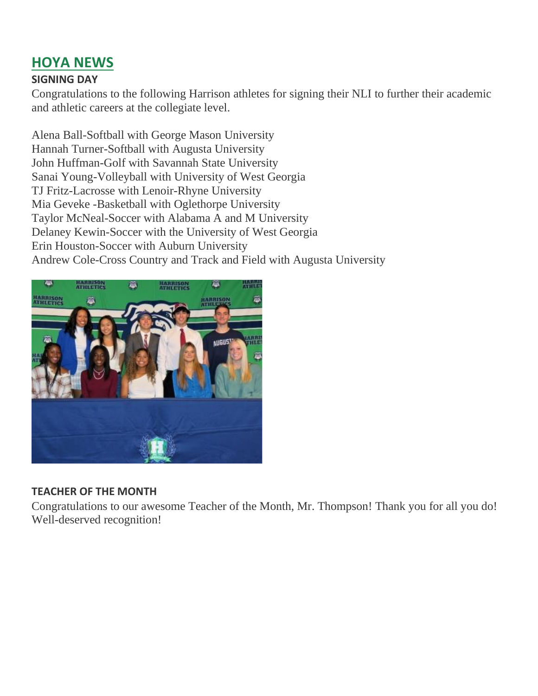## **HOYA NEWS**

#### **SIGNING DAY**

Congratulations to the following Harrison athletes for signing their NLI to further their academic and athletic careers at the collegiate level.

Alena Ball-Softball with George Mason University Hannah Turner-Softball with Augusta University John Huffman-Golf with Savannah State University Sanai Young-Volleyball with University of West Georgia TJ Fritz-Lacrosse with Lenoir-Rhyne University Mia Geveke -Basketball with Oglethorpe University Taylor McNeal-Soccer with Alabama A and M University Delaney Kewin-Soccer with the University of West Georgia Erin Houston-Soccer with Auburn University Andrew Cole-Cross Country and Track and Field with Augusta University



#### **TEACHER OF THE MONTH**

Congratulations to our awesome Teacher of the Month, Mr. Thompson! Thank you for all you do! Well-deserved recognition!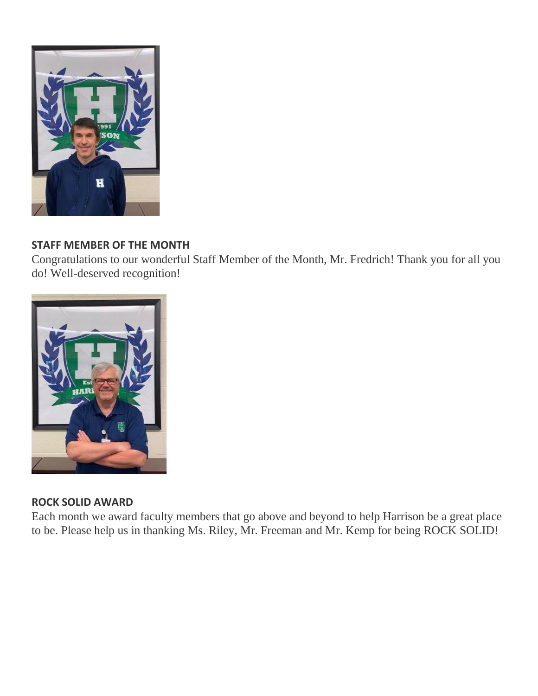

#### **STAFF MEMBER OF THE MONTH**

Congratulations to our wonderful Staff Member of the Month, Mr. Fredrich! Thank you for all you do! Well-deserved recognition!



#### **ROCK SOLID AWARD**

Each month we award faculty members that go above and beyond to help Harrison be a great place to be. Please help us in thanking Ms. Riley, Mr. Freeman and Mr. Kemp for being ROCK SOLID!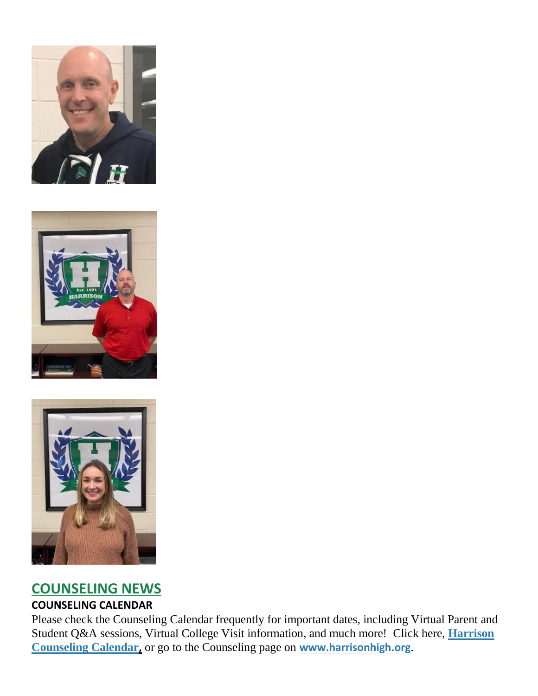





### **COUNSELING NEWS COUNSELING CALENDAR**

Please check the Counseling Calendar frequently for important dates, including Virtual Parent and Student Q&A sessions, Virtual College Visit information, and much more! Click here, **[Harrison](http://url503.cobbk12.org/ls/click?upn=G8An3K6JlHsR8QtKBFuzdoB1znjZkDc3Km2Sgf1PHVpycz16KMZXgXgxh3dcC-2FS8NJmdhIjRhMEVOdXvIran0PoO612nc8dPRxDRKmrySvOyPaCPkwQVxnm5P9WY4kGuByjjBLs9jX8AnVcQz2F0xdPJWUq-2BTqmbYJsClRyFwEgRo9BS-2BibqsB2DQhPPMblVKZ46_W-2BfLYUoUwwI1tuGClKRhhPOSepcZIFoXnUIMjiA717kQ1i13BNQTwwJ9cl-2BWArXr6-2FDxoCbNFrRaplJKtN7fZ8ZF7LZ67zArSHHm-2Fe0Pl-2Bzz5eaVNuzdVr36Cf6XT12AWK8o6YjLFX7sHTafIKI3sfXtXn-2Bud90SkwSmQCb-2FdoEoJ2szyrFAnguyOupxHaDRdQNe-2Ft9-2FB9FN5yAFe1O88mco58W0LdJ4kpaofc-2FtzNieFs-2Bmmhmu0gypn04TNfxqvp-2BsFCR7yymDhrZ-2BsOaXMw-3D-3D)  [Counseling Calendar](http://url503.cobbk12.org/ls/click?upn=G8An3K6JlHsR8QtKBFuzdoB1znjZkDc3Km2Sgf1PHVpycz16KMZXgXgxh3dcC-2FS8NJmdhIjRhMEVOdXvIran0PoO612nc8dPRxDRKmrySvOyPaCPkwQVxnm5P9WY4kGuByjjBLs9jX8AnVcQz2F0xdPJWUq-2BTqmbYJsClRyFwEgRo9BS-2BibqsB2DQhPPMblVKZ46_W-2BfLYUoUwwI1tuGClKRhhPOSepcZIFoXnUIMjiA717kQ1i13BNQTwwJ9cl-2BWArXr6-2FDxoCbNFrRaplJKtN7fZ8ZF7LZ67zArSHHm-2Fe0Pl-2Bzz5eaVNuzdVr36Cf6XT12AWK8o6YjLFX7sHTafIKI3sfXtXn-2Bud90SkwSmQCb-2FdoEoJ2szyrFAnguyOupxHaDRdQNe-2Ft9-2FB9FN5yAFe1O88mco58W0LdJ4kpaofc-2FtzNieFs-2Bmmhmu0gypn04TNfxqvp-2BsFCR7yymDhrZ-2BsOaXMw-3D-3D),** or go to the Counseling page on **[www.harrisonhigh.org](http://url503.cobbk12.org/ls/click?upn=oq5wnnHoD1NAxpT8rNAGXO9pgQjsMrFEdSeXOUfDN1SmFc2KsGzpApGt0h4W-2BnTi3qOMFT0pAhpU4g9jzi2oghIA-2BD5qxCmArcny4yPncCY-3D28M5_W-2BfLYUoUwwI1tuGClKRhhPOSepcZIFoXnUIMjiA717kQ1i13BNQTwwJ9cl-2BWArXr6-2FDxoCbNFrRaplJKtN7fZ8ZF7LZ67zArSHHm-2Fe0Pl-2Bzz5eaVNuzdVr36Cf6XT12Axn7Q1PdS9QOkTS0wfXbIr-2B6niDkRUJZIY0VR5TtiXz9kAGeeyuMJ-2Bnp39XnFXFYZsradR1HOO0SL7vTWAOvs-2BQG2kQyNMRkLhr11xpapvCASHTCkF8CbObJ6tziLZRa1-2F2hCxCXd1NnfIePkmZGkWg-3D-3D)**.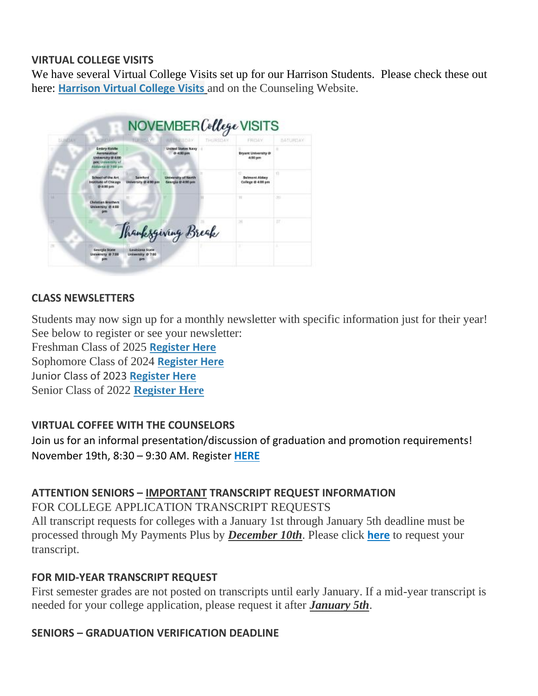#### **VIRTUAL COLLEGE VISITS**

We have several Virtual College Visits set up for our Harrison Students. Please check these out here: **[Harrison Virtual College Visits](http://url503.cobbk12.org/ls/click?upn=G8An3K6JlHsR8QtKBFuzdogXPJqD3Uz2QqY8s2OfxygfiXPa-2BLVg3oKWlcUFgjTffPxwSarE77p-2FOfJTl3QvbpgPiFEQheAZA772IpRJMifiqQmDkS-2BKBGjOIoKGjM7QQDhTGARgZvMYUugThyMfc1u3H422O6jO2zhAvrxBFglXp3F6gpegHyc5A3y-2BtXoarMbtV-2FDS2nSwRHJx513wzw-3D-3De2lI_W-2BfLYUoUwwI1tuGClKRhhPOSepcZIFoXnUIMjiA717kQ1i13BNQTwwJ9cl-2BWArXr6-2FDxoCbNFrRaplJKtN7fZ8ZF7LZ67zArSHHm-2Fe0Pl-2Bzz5eaVNuzdVr36Cf6XT12AHg7-2BCELRBzi60hTC-2Bd61kuv0IWuDrPgPYYpMRJcBbTGppj5mrvjDxC7j1poc0HHcRHEVMt0VuCCAwMR9eDYgtHDFqfaHcJ-2F5J44y6l3p-2FldOGXGPqReJY9G0hqpvMpluMkBjUkYVaunEz-2B7-2F6yksiA-3D-3D)** and on the Counseling Website.



#### **CLASS NEWSLETTERS**

Students may now sign up for a monthly newsletter with specific information just for their year! See below to register or see your newsletter:

Freshman Class of 2025 **[Register Here](http://url503.cobbk12.org/ls/click?upn=Lr5Kj85exJaDj793QUoDMxoBFqYG9jsvxI4LoJlDFzMhUCpXbnVhhqIbIvVR7eDkW2lzE7udnvgKuQAcOzbNvqwOcyAOegilze8a86prJ3frgbJArpe-2Bu9kCda-2FHphK4YS3syaEi6KXoq5ecEB9E0ne7Np47MCHzPx514UIHtE2z1DtWvQSMAPs1SLFsz3LtzjUK_W-2BfLYUoUwwI1tuGClKRhhPOSepcZIFoXnUIMjiA717kQ1i13BNQTwwJ9cl-2BWArXr6-2FDxoCbNFrRaplJKtN7fZ8ZF7LZ67zArSHHm-2Fe0Pl-2Bzz5eaVNuzdVr36Cf6XT12AYyAFU5pidze-2F1Jy3rk4u5tchsb-2BNZhj8DkT3AQnOQQkjX-2BFH1rmI-2BJXO1tLBwGs2Qwp2rc55Lk2MtLXHbnfOxtP2qb0-2BW9ggbYTzc6iUfIkoFkDtC8FSP32-2BxRHb36J0dKCKwxyP-2BeCIPRQye4tcxQ-3D-3D)** Sophomore Class of 2024 **[Register Here](http://url503.cobbk12.org/ls/click?upn=HU5K2q0Fz5ADTGboxPzOzV-2FXL0qE7BYVJk79MoYchrbCOX-2B3LonP5U2oZNoxy5AcBtluJIt2ARn38rp2KDKyAeBNN-2Fb5h181ewg5fbNU54WvCEZR610RnNa6PzQcmk9Zhbyv_W-2BfLYUoUwwI1tuGClKRhhPOSepcZIFoXnUIMjiA717kQ1i13BNQTwwJ9cl-2BWArXr6-2FDxoCbNFrRaplJKtN7fZ8ZF7LZ67zArSHHm-2Fe0Pl-2Bzz5eaVNuzdVr36Cf6XT12A6k-2BQhaMOaJ2xZ9YzkzrTiAlvTY1bPsZmH5iPwdbr67TPrZkoU8rheB3Jl7apZ1Cn4qyXqQ-2BW6hhkwoP0jWBsZDs6mjofpzcvVs7DhtW-2BxbCbvQAvlDwQEwdqVw8GkwEhrR5Ob3zyINpIw2ptMAUQRw-3D-3D)** Junior Class of 2023 **[Register Here](http://url503.cobbk12.org/ls/click?upn=HU5K2q0Fz5ADTGboxPzOzc-2FmDrLeRPv-2F5f6cytuJSxI0trpBiz9UDAwo-2Bcb69f-2BotMmx4AwlG5hn6eMqzvsNDsYVvUofQRcF3tP7lqOzjVNqfGZzo2pBbv9178J2dZt2supnlVwvxbV-2B2CZdWNWDsw-3D-3DOJkg_W-2BfLYUoUwwI1tuGClKRhhPOSepcZIFoXnUIMjiA717kQ1i13BNQTwwJ9cl-2BWArXr6-2FDxoCbNFrRaplJKtN7fZ8ZF7LZ67zArSHHm-2Fe0Pl-2Bzz5eaVNuzdVr36Cf6XT12AtaPtdI9kStbXsJaKV3-2BemMnI3Kbd2rLO7quRFwJDKbUUZDz8I-2BRyMG0AQzfkAnoEWhu4kHNnoZ74e5Jpo1xSZIXW4gRbC7b9lULDh5qcGn8xtH-2Fyv8gf8whSRIxUGLL7sFx-2BimS8ySCTpQ1FGAkYsA-3D-3D)** Senior Class of 2022 **[Register Here](http://url503.cobbk12.org/ls/click?upn=Lr5Kj85exJaDj793QUoDMxoBFqYG9jsvxI4LoJlDFzMhUCpXbnVhhqIbIvVR7eDkW2lzE7udnvgKuQAcOzbNvqwOcyAOegilze8a86prJ3dDt6tBPLENBJTdrQCUrueLZgINQSeok4wIPB8t7DObpshp395kKSQ2QJBawc2T6bK-2FQpKcY6cz3X5556wmPmprZCE8_W-2BfLYUoUwwI1tuGClKRhhPOSepcZIFoXnUIMjiA717kQ1i13BNQTwwJ9cl-2BWArXr6-2FDxoCbNFrRaplJKtN7fZ8ZF7LZ67zArSHHm-2Fe0Pl-2Bzz5eaVNuzdVr36Cf6XT12AqNcPQ-2BxAXea4bnmQ4xdstCDpTmywcOKkRslmgSxWMPKFsewWQLj0kgv2XQ8XWVKSYwid57OwtyMRB89qHvGV3-2FX2F4U-2BfB2-2BdzeUilVbNDde8Nw6cdqFw6PDY3rCVNZGzIiqBBNTTD55jH4aULeVvQ-3D-3D)**

#### **VIRTUAL COFFEE WITH THE COUNSELORS**

Join us for an informal presentation/discussion of graduation and promotion requirements! November 19th, 8:30 – 9:30 AM. Register **[HERE](http://url503.cobbk12.org/ls/click?upn=Lr5Kj85exJaDj793QUoDMxoBFqYG9jsvxI4LoJlDFzMhUCpXbnVhhqIbIvVR7eDkW2lzE7udnvgKuQAcOzbNvqwOcyAOegilze8a86prJ3frgbJArpe-2Bu9kCda-2FHphK4yTQlxqjiExD8Xrjuj5gHHOyF3FxsPUoTw-2BpjQShNGI6dRm3KQ6ecwNF90KpggeRL9MSJyBp88ebLgz-2FfBXRAEnNIDRF0Q1zE9VsDZmHjndhTLTgFhvK3ukWxEf8C9G5iLIqK_W-2BfLYUoUwwI1tuGClKRhhPOSepcZIFoXnUIMjiA717kQ1i13BNQTwwJ9cl-2BWArXr6-2FDxoCbNFrRaplJKtN7fZ8ZF7LZ67zArSHHm-2Fe0Pl-2Bzz5eaVNuzdVr36Cf6XT12Al6xG11bhUududb0yApNfpq-2FmVoTEzdjbopdaLGWRsvw-2Bu1bxh597wMEIqkpAvJ8GPz0qzZTgKcRYQaufGvIhS2x4DxFBMLBc7s8BYwJiRhhoky2U1q0pcmqvxKpTA-2FvySR1xOp49vchbj1hAwuWqKw-3D-3D)**

#### **ATTENTION SENIORS – IMPORTANT TRANSCRIPT REQUEST INFORMATION**

FOR COLLEGE APPLICATION TRANSCRIPT REQUESTS All transcript requests for colleges with a January 1st through January 5th deadline must be processed through My Payments Plus by *December 10th*. Please click **[here](http://url503.cobbk12.org/ls/click?upn=HU5K2q0Fz5ADTGboxPzOzV-2FXL0qE7BYVJk79MoYchrbS-2B-2BPvFNzCqRtAWujduLnXKrI5Tcb7M2X9wfzkRlhjQvpLT0KvIGKvwZqo2V8CQzU-3DJ9BS_W-2BfLYUoUwwI1tuGClKRhhPOSepcZIFoXnUIMjiA717kQ1i13BNQTwwJ9cl-2BWArXr6-2FDxoCbNFrRaplJKtN7fZ8ZF7LZ67zArSHHm-2Fe0Pl-2Bzz5eaVNuzdVr36Cf6XT12Ac87AP8i3hR8zMbyBnsVTUtBt-2FCwdZz4ISJS1NCfRu9Cb35DUgDoumXO50dMA5dRJESXPaZHgbfMTuGhViovKCI4wxFYv3FQJUF-2BvA2eJ-2ByJMXvo3oRhzCQoWzFA4lutv3inyBeLZDoyBlr12Msaoag-3D-3D)** to request your transcript.

#### **FOR MID-YEAR TRANSCRIPT REQUEST**

First semester grades are not posted on transcripts until early January. If a mid-year transcript is needed for your college application, please request it after *January 5th*.

#### **SENIORS – GRADUATION VERIFICATION DEADLINE**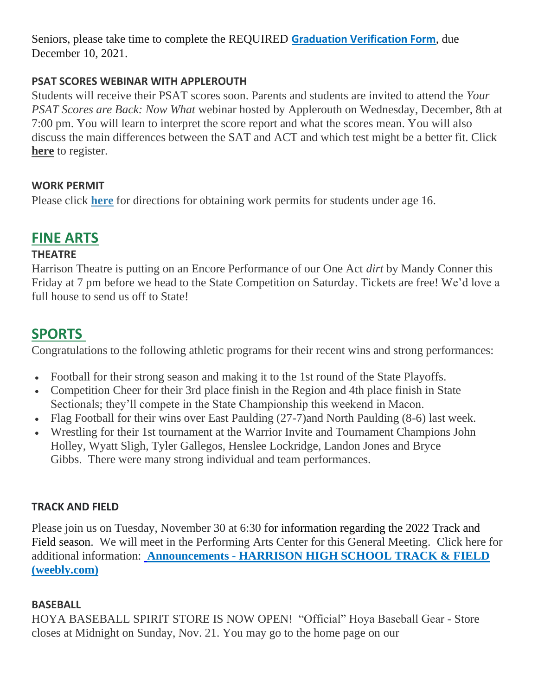Seniors, please take time to complete the REQUIRED **[Graduation Verification Form](http://url503.cobbk12.org/ls/click?upn=HU5K2q0Fz5ADTGboxPzOzUx-2FoxqvD40X8ef2vsqiBoJEMyW8rsb6x-2F9486G-2BbJFdY2lh9p-2B-2BvoK6K0n8LSEIcsAsqmyr4FoT7mndZb7p9dygObSEWLId-2BavViknTaHwd3nMzWWhE6JMeK08uIcReif3n0HVW14XcdEl1bqiPvUg-2FnnCEiVnD80iW3QWbKslmfGIU_W-2BfLYUoUwwI1tuGClKRhhPOSepcZIFoXnUIMjiA717kQ1i13BNQTwwJ9cl-2BWArXr6-2FDxoCbNFrRaplJKtN7fZ8ZF7LZ67zArSHHm-2Fe0Pl-2Bzz5eaVNuzdVr36Cf6XT12Ao4DBBIjSsGlpq5c52WfN0zFJVWIB4W-2BIoR207UlD0YaSSN0hFUVAJ3Npq-2Bn5sQUNmG315lrG3QUu8Z02-2FKp8HjMRyG0Lm19Ym0mj6nXoMINetMfNgOrDG6DZSQBFMPXACxsAW1-2FnXvVF4N8m3JCbkA-3D-3D)**, due December 10, 2021.

#### **PSAT SCORES WEBINAR WITH APPLEROUTH**

Students will receive their PSAT scores soon. Parents and students are invited to attend the *Your PSAT Scores are Back: Now What* webinar hosted by Applerouth on Wednesday, December, 8th at 7:00 pm. You will learn to interpret the score report and what the scores mean. You will also discuss the main differences between the SAT and ACT and which test might be a better fit. Click **here** to register.

#### **WORK PERMIT**

Please click **[here](http://url503.cobbk12.org/ls/click?upn=HU5K2q0Fz5ADTGboxPzOzV-2FXL0qE7BYVJk79MoYchragV5467tisWoPAB9agzSUHDsbqBYccGjiUhV-2FDTHAbpapsLFisWAfYtS-2FB87HhzALBJIiH1yo6DrPdn5r31JRchDVD_W-2BfLYUoUwwI1tuGClKRhhPOSepcZIFoXnUIMjiA717kQ1i13BNQTwwJ9cl-2BWArXr6-2FDxoCbNFrRaplJKtN7fZ8ZF7LZ67zArSHHm-2Fe0Pl-2Bzz5eaVNuzdVr36Cf6XT12AM5mgGk9AtPZ1t7yQmfcnvNlEYTawHOLobBXlok5L9MXoXlUT-2Bq5MYR5VjuKderlUnyLXCFVqkLjiIKioO6t3Md4PikWDigRUEuOhBipX8xvHmsf6j-2BiH1USYWa50tFMJnJYMxuDRH6E2xDeH9rrWkg-3D-3D)** for directions for obtaining work permits for students under age 16.

### **FINE ARTS**

#### **THEATRE**

Harrison Theatre is putting on an Encore Performance of our One Act *dirt* by Mandy Conner this Friday at 7 pm before we head to the State Competition on Saturday. Tickets are free! We'd love a full house to send us off to State!

### **SPORTS**

Congratulations to the following athletic programs for their recent wins and strong performances:

- Football for their strong season and making it to the 1st round of the State Playoffs.
- Competition Cheer for their 3rd place finish in the Region and 4th place finish in State Sectionals; they'll compete in the State Championship this weekend in Macon.
- Flag Football for their wins over East Paulding (27-7)and North Paulding (8-6) last week.
- Wrestling for their 1st tournament at the Warrior Invite and Tournament Champions John Holley, Wyatt Sligh, Tyler Gallegos, Henslee Lockridge, Landon Jones and Bryce Gibbs. There were many strong individual and team performances.

#### **TRACK AND FIELD**

Please join us on Tuesday, November 30 at 6:30 for information regarding the 2022 Track and Field season. We will meet in the Performing Arts Center for this General Meeting. Click here for additional information: **[A](http://url503.cobbk12.org/ls/click?upn=kuhioYFGCLvsepU411cC6drmDs78lMbUmXzCeDYcMFoP-2FJpi8SRXmwJQuWMJexD7HFQUwadZlFWr1MnaEwMsQbZdOkaa-2B658vMvMEyO0Ka8-3DUzLJ_W-2BfLYUoUwwI1tuGClKRhhPOSepcZIFoXnUIMjiA717kQ1i13BNQTwwJ9cl-2BWArXr6-2FDxoCbNFrRaplJKtN7fZ8ZF7LZ67zArSHHm-2Fe0Pl-2Bzz5eaVNuzdVr36Cf6XT12Afibbj6TmEqEsgP9nDpP0cDwwrOZNbjklZpeOdJhLKPPA-2FuAAbM8vCCdnMtbdmYRj5ROLfJSPJ3jCDMpzVxcvFMghyKTMzmgm1RQo4V9F-2BqiB8kg8Us4V7SEpshKo4e3il1eClzUNPmWr5F1C23VMDQ-3D-3D)nnouncements - [HARRISON HIGH SCHOOL TRACK & FIELD](http://url503.cobbk12.org/ls/click?upn=kuhioYFGCLvsepU411cC6drmDs78lMbUmXzCeDYcMFoP-2FJpi8SRXmwJQuWMJexD7HFQUwadZlFWr1MnaEwMsQbZdOkaa-2B658vMvMEyO0Ka8-3D3OML_W-2BfLYUoUwwI1tuGClKRhhPOSepcZIFoXnUIMjiA717kQ1i13BNQTwwJ9cl-2BWArXr6-2FDxoCbNFrRaplJKtN7fZ8ZF7LZ67zArSHHm-2Fe0Pl-2Bzz5eaVNuzdVr36Cf6XT12AGICOopTXM1zzehIBR6md4SSjdprAdKviUsbzv-2FPcGsst5ChO7ajJkH3biM593MqDmcFCu0SfhrlIxHRoQL1xNQawMuaLBElcM5NIp0Rs4zFbXoXlJf99HmHYOW5BBe-2FjVnWa2-2FErqCjByjEN2fkezg-3D-3D)  [\(weebly.com\)](http://url503.cobbk12.org/ls/click?upn=kuhioYFGCLvsepU411cC6drmDs78lMbUmXzCeDYcMFoP-2FJpi8SRXmwJQuWMJexD7HFQUwadZlFWr1MnaEwMsQbZdOkaa-2B658vMvMEyO0Ka8-3D3OML_W-2BfLYUoUwwI1tuGClKRhhPOSepcZIFoXnUIMjiA717kQ1i13BNQTwwJ9cl-2BWArXr6-2FDxoCbNFrRaplJKtN7fZ8ZF7LZ67zArSHHm-2Fe0Pl-2Bzz5eaVNuzdVr36Cf6XT12AGICOopTXM1zzehIBR6md4SSjdprAdKviUsbzv-2FPcGsst5ChO7ajJkH3biM593MqDmcFCu0SfhrlIxHRoQL1xNQawMuaLBElcM5NIp0Rs4zFbXoXlJf99HmHYOW5BBe-2FjVnWa2-2FErqCjByjEN2fkezg-3D-3D)**

#### **BASEBALL**

HOYA BASEBALL SPIRIT STORE IS NOW OPEN! "Official" Hoya Baseball Gear - Store closes at Midnight on Sunday, Nov. 21. You may go to the home page on our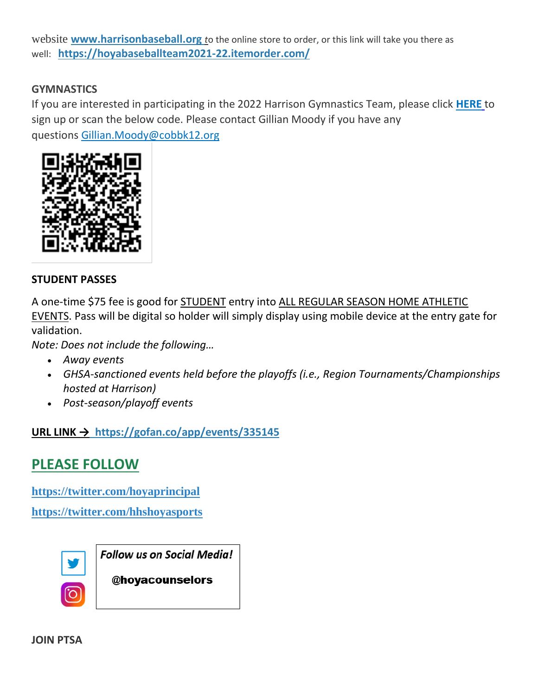website **[www.harrisonbaseball.org](http://url503.cobbk12.org/ls/click?upn=w1gdoDmrpuqo5Pl2RhLapMpMK97I3mHgQf6Alf4Ay5FQ8UaG-2BZXdNDevQKgu-2FgGaFWJzihNDPg7w6sN8PRElBw-3D-3D3Toj_W-2BfLYUoUwwI1tuGClKRhhPOSepcZIFoXnUIMjiA717kQ1i13BNQTwwJ9cl-2BWArXr6-2FDxoCbNFrRaplJKtN7fZ8ZF7LZ67zArSHHm-2Fe0Pl-2Bzz5eaVNuzdVr36Cf6XT12AKQE8zYoYv5ZQjDwH7l2iXxp-2FCwyIm6pNZQEB6r2hc-2FkasAxyzYIsIXUCyQWn5EvgqWw6qJLQp3n9FIIjIm2Irp-2FAbBK4hFnyI34SHbOHumSCw1EVWn7-2F6HbW6OpnO3zfbmQmmuB-2Bg6eMsr8Gx4LhNw-3D-3D)** *t*o the online store to order, or this link will take you there as well: **[https://hoyabaseballteam2021-22.itemorder.com/](http://url503.cobbk12.org/ls/click?upn=k2a9oSGmmBVDQ-2BEzH5jEzV1ih-2FyS1Aa5oo5TUcVl7Y69QleQPr4-2Boz1D3XlcVDZ-2F5f8cQjzExEiFrlhmoXzQ4A-3D-3DQEyK_W-2BfLYUoUwwI1tuGClKRhhPOSepcZIFoXnUIMjiA717kQ1i13BNQTwwJ9cl-2BWArXr6-2FDxoCbNFrRaplJKtN7fZ8ZF7LZ67zArSHHm-2Fe0Pl-2Bzz5eaVNuzdVr36Cf6XT12A1-2FSJ24PXVXnzWv9xrG-2F-2BOWDoBqlnXWep0FPiTbAYQutcq64zMl7nk5rKx74TLLEKWxhZAtItnHTmQc4VGOehR0ir4iOY83ntm12ThwAcknLmXyrHQ3rJl3EZMOWofHryRQHBYipL9Dwn9hV4FqEJrA-3D-3D)**

#### **GYMNASTICS**

If you are interested in participating in the 2022 Harrison Gymnastics Team, please click **[HERE](http://url503.cobbk12.org/ls/click?upn=Lr5Kj85exJaDj793QUoDMxoBFqYG9jsvxI4LoJlDFzMhUCpXbnVhhqIbIvVR7eDkW2lzE7udnvgKuQAcOzbNvqwOcyAOegilze8a86prJ3frgbJArpe-2Bu9kCda-2FHphK4X7-2Fn0S93Gpg62gxIcpnjlWhZDvXLHqEyIExA1yxE1wcndyOVcDqBNRoClgIJ3TNK7XbD_W-2BfLYUoUwwI1tuGClKRhhPOSepcZIFoXnUIMjiA717kQ1i13BNQTwwJ9cl-2BWArXr6-2FDxoCbNFrRaplJKtN7fZ8ZF7LZ67zArSHHm-2Fe0Pl-2Bzz5eaVNuzdVr36Cf6XT12Ao012p-2Foeupm9pEoEyItgrIvYplrX2DNy8Qs41CLLPCUcw-2BYasXcmiE-2F4hjm5z5MUspBAIn-2FRvOvI7heDDL-2F8-2BlcuPC8AqjWvm5Vh-2FXGqHb8NF93-2Bw6xhBEWRdJ8NAO0-2FQd8ajHbZDy8RosutCBh4fQ-3D-3D)** to sign up or scan the below code. Please contact Gillian Moody if you have any questions [Gillian.Moody@cobbk12.org](mailto:Gillian.Moody@cobbk12.org)



#### **STUDENT PASSES**

A one-time \$75 fee is good for STUDENT entry into ALL REGULAR SEASON HOME ATHLETIC EVENTS. Pass will be digital so holder will simply display using mobile device at the entry gate for validation.

*Note: Does not include the following…*

- *Away events*
- *GHSA-sanctioned events held before the playoffs (i.e., Region Tournaments/Championships hosted at Harrison)*
- *Post-season/playoff events*

#### **URL LINK → [https://gofan.co/app/events/335145](http://url503.cobbk12.org/ls/click?upn=tP0Rvl8hn280DvKJ9X9yWS6gZcUyRDJDRHIz6zCKu-2FvIOfkArls6Pqfi6bZhswVe3X6k_W-2BfLYUoUwwI1tuGClKRhhPOSepcZIFoXnUIMjiA717kQ1i13BNQTwwJ9cl-2BWArXr6-2FDxoCbNFrRaplJKtN7fZ8ZF7LZ67zArSHHm-2Fe0Pl-2Bzz5eaVNuzdVr36Cf6XT12ArQ3WxmxXNrg6atJ-2Fo5RZn4Ypk-2FdmXQOh5ysZnjuXWrPp0XqnQEPZXZNZpTR6zdH8C1eFbDkgF4dzRzrCx02Z8W5gG47kVtiZu3ybUlcq6ikSSxIFjn-2BwYDWFKAIW3CSYdw3ju5NEnoPm1KN0CmNa0w-3D-3D)**

## **PLEASE FOLLOW**

**[https://twitter.com/hoyaprincipal](http://url503.cobbk12.org/ls/click?upn=Q-2BKaVIKfS2AqG1NntRWXImXNf49-2Fa0XLVWXgC2OaD3eYKqynJ772HQBgX-2BTS9v7Wkg6hDlDEhqY9O5C0xw5u4wzx-2FVT7GJBN4VxchsI9o1gMCPGZqbrCGQbrK9th1DpVNpRZMB-2Befq-2BO0LrpHLPx82AfwiNRrpeNnPC7rNKkbTOIc08xpyNOgPK1fTuSRau29s6Jvr1q5mMKqc2zLUJ2DJvUpLZeptJaXBPC3fCjgZZFEgRcUh4jITkJ-2BpvbV-2BprYLH-2BiiMyEs2jjJUfLvPRgC4K-2BiWJXfBJUt844M-2Fio7yAl-2Bhd8XOPVGZrOl4R4XrvApD-2B8J-2B40OjUt-2FPJha6sfvNvdW6kL-2FcjBLNGB37VXUXiIa2YpN7qFBOC1B4tgW-2BVcrgLKUuI6miauFTSu7XvT2QxrGHH7g1RrBT3sUFNX8g-3DKknf_W-2BfLYUoUwwI1tuGClKRhhPOSepcZIFoXnUIMjiA717kQ1i13BNQTwwJ9cl-2BWArXr6-2FDxoCbNFrRaplJKtN7fZ8ZF7LZ67zArSHHm-2Fe0Pl-2Bzz5eaVNuzdVr36Cf6XT12ADJD9SX1iCLJfldQFcDKkRzKJ42XD2XY0GaaNWzOp-2BLkNKWuINkumsa36FjPg8shBPsrR9jTzh1S8zcWvqnrivP6XsAwpFNDH2TZHxM5ZTFGDII4m9WpPvoXn19-2BloxD1t9dYsNFARiJAEqGReSbsDQ-3D-3D)**

**[https://twitter.com/hhshoyasports](http://url503.cobbk12.org/ls/click?upn=Q-2BKaVIKfS2AqG1NntRWXImXNf49-2Fa0XLVWXgC2OaD3eYKqynJ772HQBgX-2BTS9v7Wkg6hDlDEhqY9O5C0xw5u4wzx-2FVT7GJBN4VxchsI9o1i4c0-2FQSTK8X5OIWLnbybRI4xXbTuu6dbCMzwTwldDn8Zb-2FmZfrrxPtkzyT2s6fQ0ym-2FV0B09hx6QLoBTXDXATknw1fd1fkehQfqRddnFRm7OiNEli12Ut8iY3ylkOwJEWTUwM1SCPEZqk2U8UAfwWb-2FyqTx7lwUtSHkXcRihmIUp0le2gXMsi1CwH6WOwbQtY7hOaojBlB48oigYOMxgfL4-2BCq6ofT0DyFXygF7lpw3yhW4TL0LtuuUEA4X38B-2BZbNA6fhN-2B6xbcBW0zMy95E-2FXvPJ-2Fbif8WmDRhZCJHffV7n6XBwdmW8vcmqsRJ43l4w-3DQsZd_W-2BfLYUoUwwI1tuGClKRhhPOSepcZIFoXnUIMjiA717kQ1i13BNQTwwJ9cl-2BWArXr6-2FDxoCbNFrRaplJKtN7fZ8ZF7LZ67zArSHHm-2Fe0Pl-2Bzz5eaVNuzdVr36Cf6XT12AJhgcUHhvYvpVy1CeS3EUpxA5QcqleqWkpySyII6lyfGoeOvqwe7VGIflFNT8av6oy1TtyXyV443Cljr0rhDFbZTvWgx1iidgitZCYwUEr5FL8NKd1A-2BcHOroKyuheCaRCJqZEvKdfW-2BreV7aTLciYA-3D-3D)**



**Follow us on Social Media!** 

@hoyacounselors